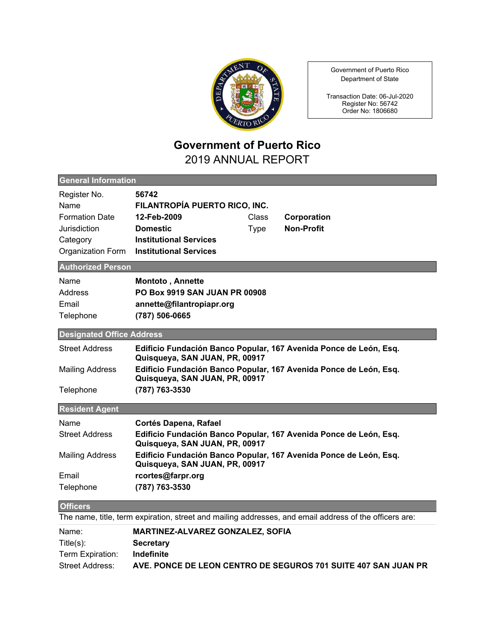

Government of Puerto Rico Department of State

Transaction Date: 06-Jul-2020 Register No: 56742 Order No: 1806680

## **Government of Puerto Rico** 2019 ANNUAL REPORT

| <b>General Information</b>                                                                             |                                                                                                                                                                                                                                     |  |
|--------------------------------------------------------------------------------------------------------|-------------------------------------------------------------------------------------------------------------------------------------------------------------------------------------------------------------------------------------|--|
| Register No.<br>Name<br><b>Formation Date</b><br>Jurisdiction<br>Category<br>Organization Form         | 56742<br>FILANTROPÍA PUERTO RICO, INC.<br>12-Feb-2009<br>Class<br>Corporation<br><b>Non-Profit</b><br><b>Domestic</b><br><b>Type</b><br><b>Institutional Services</b><br><b>Institutional Services</b>                              |  |
| <b>Authorized Person</b>                                                                               |                                                                                                                                                                                                                                     |  |
| Name<br>Address<br>Email<br>Telephone                                                                  | Montoto, Annette<br><b>PO Box 9919 SAN JUAN PR 00908</b><br>annette@filantropiapr.org<br>(787) 506-0665                                                                                                                             |  |
| <b>Designated Office Address</b>                                                                       |                                                                                                                                                                                                                                     |  |
| <b>Street Address</b><br><b>Mailing Address</b><br>Telephone                                           | Edificio Fundación Banco Popular, 167 Avenida Ponce de León, Esq.<br>Quisqueya, SAN JUAN, PR, 00917<br>Edificio Fundación Banco Popular, 167 Avenida Ponce de León, Esq.<br>Quisqueya, SAN JUAN, PR, 00917<br>(787) 763-3530        |  |
| <b>Resident Agent</b>                                                                                  |                                                                                                                                                                                                                                     |  |
| Name<br><b>Street Address</b><br><b>Mailing Address</b>                                                | Cortés Dapena, Rafael<br>Edificio Fundación Banco Popular, 167 Avenida Ponce de León, Esq.<br>Quisqueya, SAN JUAN, PR, 00917<br>Edificio Fundación Banco Popular, 167 Avenida Ponce de León, Esq.<br>Quisqueya, SAN JUAN, PR, 00917 |  |
| Email                                                                                                  | rcortes@farpr.org                                                                                                                                                                                                                   |  |
| Telephone                                                                                              | (787) 763-3530                                                                                                                                                                                                                      |  |
| <b>Officers</b>                                                                                        |                                                                                                                                                                                                                                     |  |
| The name, title, term expiration, street and mailing addresses, and email address of the officers are: |                                                                                                                                                                                                                                     |  |
| Name:<br>$Title(s)$ :<br>Term Expiration:<br><b>Street Address:</b>                                    | <b>MARTINEZ-ALVAREZ GONZALEZ, SOFIA</b><br><b>Secretary</b><br>Indefinite<br>AVE. PONCE DE LEON CENTRO DE SEGUROS 701 SUITE 407 SAN JUAN PR                                                                                         |  |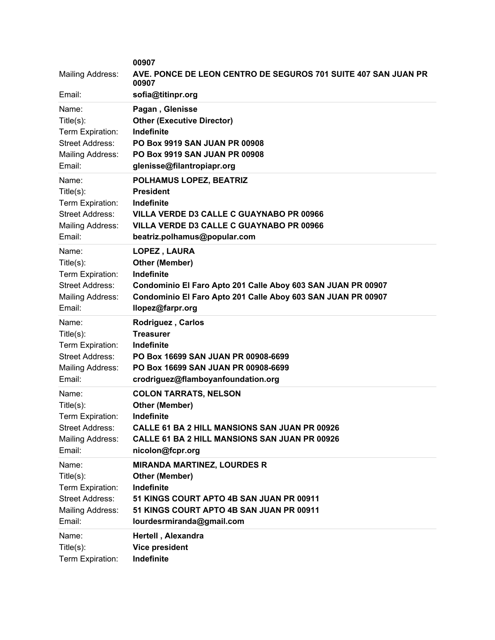| <b>Mailing Address:</b><br>Email:<br>Name: | 00907<br>AVE. PONCE DE LEON CENTRO DE SEGUROS 701 SUITE 407 SAN JUAN PR<br>00907<br>sofia@titinpr.org<br>Pagan, Glenisse |
|--------------------------------------------|--------------------------------------------------------------------------------------------------------------------------|
| Title(s):                                  | <b>Other (Executive Director)</b>                                                                                        |
| Term Expiration:                           | Indefinite                                                                                                               |
| <b>Street Address:</b>                     | PO Box 9919 SAN JUAN PR 00908                                                                                            |
| Mailing Address:                           | <b>PO Box 9919 SAN JUAN PR 00908</b>                                                                                     |
| Email:                                     | glenisse@filantropiapr.org                                                                                               |
| Name:                                      | POLHAMUS LOPEZ, BEATRIZ                                                                                                  |
| $Title(s)$ :                               | <b>President</b>                                                                                                         |
| Term Expiration:                           | Indefinite                                                                                                               |
| <b>Street Address:</b>                     | <b>VILLA VERDE D3 CALLE C GUAYNABO PR 00966</b>                                                                          |
| Mailing Address:                           | <b>VILLA VERDE D3 CALLE C GUAYNABO PR 00966</b>                                                                          |
| Email:                                     | beatriz.polhamus@popular.com                                                                                             |
| Name:                                      | LOPEZ, LAURA                                                                                                             |
| Title(s):                                  | <b>Other (Member)</b>                                                                                                    |
| Term Expiration:                           | Indefinite                                                                                                               |
| <b>Street Address:</b>                     | Condominio El Faro Apto 201 Calle Aboy 603 SAN JUAN PR 00907                                                             |
| <b>Mailing Address:</b>                    | Condominio El Faro Apto 201 Calle Aboy 603 SAN JUAN PR 00907                                                             |
| Email:                                     | llopez@farpr.org                                                                                                         |
| Name:                                      | <b>Rodriguez, Carlos</b>                                                                                                 |
| Title(s):                                  | <b>Treasurer</b>                                                                                                         |
| Term Expiration:                           | Indefinite                                                                                                               |
| <b>Street Address:</b>                     | PO Box 16699 SAN JUAN PR 00908-6699                                                                                      |
| Mailing Address:                           | PO Box 16699 SAN JUAN PR 00908-6699                                                                                      |
| Email:                                     | crodriguez@flamboyanfoundation.org                                                                                       |
| Name:                                      | <b>COLON TARRATS, NELSON</b>                                                                                             |
| $Title(s)$ :                               | Other (Member)                                                                                                           |
| Term Expiration:                           | Indefinite                                                                                                               |
| <b>Street Address:</b>                     | CALLE 61 BA 2 HILL MANSIONS SAN JUAN PR 00926                                                                            |
| Mailing Address:                           | <b>CALLE 61 BA 2 HILL MANSIONS SAN JUAN PR 00926</b>                                                                     |
| Email:                                     | nicolon@fcpr.org                                                                                                         |
| Name:                                      | <b>MIRANDA MARTINEZ, LOURDES R</b>                                                                                       |
| Title(s):                                  | <b>Other (Member)</b>                                                                                                    |
| Term Expiration:                           | Indefinite                                                                                                               |
| <b>Street Address:</b>                     | 51 KINGS COURT APTO 4B SAN JUAN PR 00911                                                                                 |
| Mailing Address:                           | 51 KINGS COURT APTO 4B SAN JUAN PR 00911                                                                                 |
| Email:                                     | lourdesrmiranda@gmail.com                                                                                                |
| Name:                                      | Hertell, Alexandra                                                                                                       |
| Title(s):                                  | <b>Vice president</b>                                                                                                    |
| Term Expiration:                           | Indefinite                                                                                                               |